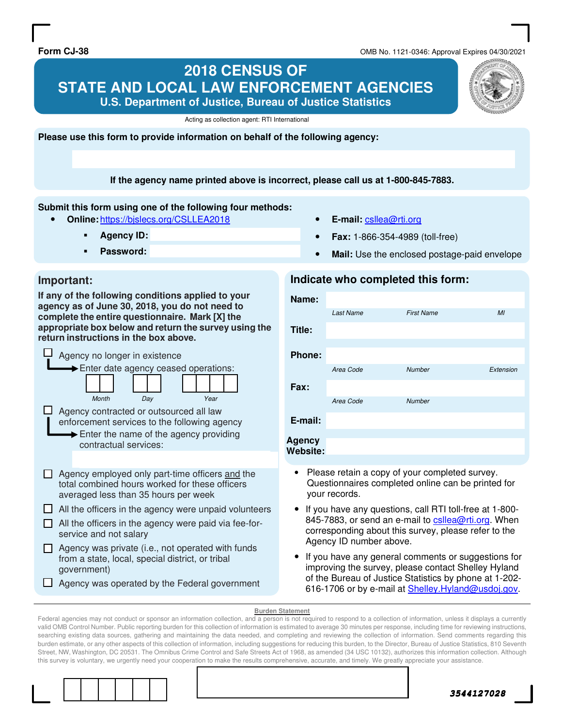**Form CJ-38** OMB No. 1121-0346: Approval Expires 04/30/2021

## **2018 CENSUS OF STATE AND LOCAL LAW ENFORCEMENT AGENCIES U.S. Department of Justice, Bureau of Justice Statistics**

Acting as collection agent: RTI International

**Please use this form to provide information on behalf of the following agency:** 

**If the agency name printed above is incorrect, please call us at 1-800-845-7883.** 

#### **Submit this form using one of the following four methods:**

- **Online:** https://bjslecs.org/CSLLEA2018
	- **Agency ID:**
	- **Password:**
- **E-mail:** csllea@rti.org
- **Fax:** 1-866-354-4989 (toll-free)
- **Mail:** Use the enclosed postage-paid envelope

#### **Important:**

**If any of the following conditions applied to your agency as of June 30, 2018, you do not need to complete the entire questionnaire. Mark [X] the appropriate box below and return the survey using the return instructions in the box above.** 

| Agency no longer in existence                                                                                                                                                    |  |  |  |
|----------------------------------------------------------------------------------------------------------------------------------------------------------------------------------|--|--|--|
| Enter date agency ceased operations:<br>Month<br>Year<br>Day                                                                                                                     |  |  |  |
| Agency contracted or outsourced all law<br>enforcement services to the following agency<br>$\blacktriangleright$ Enter the name of the agency providing<br>contractual services: |  |  |  |
|                                                                                                                                                                                  |  |  |  |
| Agency employed only part-time officers and the<br>total combined hours worked for these officers<br>averaged less than 35 hours per week                                        |  |  |  |
| All the officers in the agency were unpaid volunteers                                                                                                                            |  |  |  |
| All the officers in the agency were paid via fee-for-<br>service and not salary                                                                                                  |  |  |  |
| Agency was private (i.e., not operated with funds<br>from a state, local, special district, or tribal<br>government)                                                             |  |  |  |
| Agency was operated by the Federal government                                                                                                                                    |  |  |  |

#### **Indicate who completed this form:**

| Name:                     |                  |                   |                |
|---------------------------|------------------|-------------------|----------------|
|                           | <b>Last Name</b> | <b>First Name</b> | M <sub>l</sub> |
| Title:                    |                  |                   |                |
| <b>Phone:</b>             |                  |                   |                |
|                           | Area Code        | <b>Number</b>     | Extension      |
| Fax:                      |                  |                   |                |
|                           | Area Code        | <b>Number</b>     |                |
| E-mail:                   |                  |                   |                |
| <b>Agency</b><br>Website: |                  |                   |                |

- Please retain a copy of your completed survey. Questionnaires completed online can be printed for your records.
- If you have any questions, call RTI toll-free at 1-800- 845-7883, or send an e-mail to csllea@rti.org. When corresponding about this survey, please refer to the Agency ID number above.
- If you have any general comments or suggestions for improving the survey, please contact Shelley Hyland of the Bureau of Justice Statistics by phone at 1-202- 616-1706 or by e-mail at Shelley.Hyland@usdoj.gov.

#### **Burden Statement**

Federal agencies may not conduct or sponsor an information collection, and a person is not required to respond to a collection of information, unless it displays a currently valid OMB Control Number. Public reporting burden for this collection of information is estimated to average 30 minutes per response, including time for reviewing instructions, searching existing data sources, gathering and maintaining the data needed, and completing and reviewing the collection of information. Send comments regarding this burden estimate, or any other aspects of this collection of information, including suggestions for reducing this burden, to the Director, Bureau of Justice Statistics, 810 Seventh Street, NW, Washington, DC 20531. The Omnibus Crime Control and Safe Streets Act of 1968, as amended (34 USC 10132), authorizes this information collection. Although this survey is voluntary, we urgently need your cooperation to make the results comprehensive, accurate, and timely. We greatly appreciate your assistance.



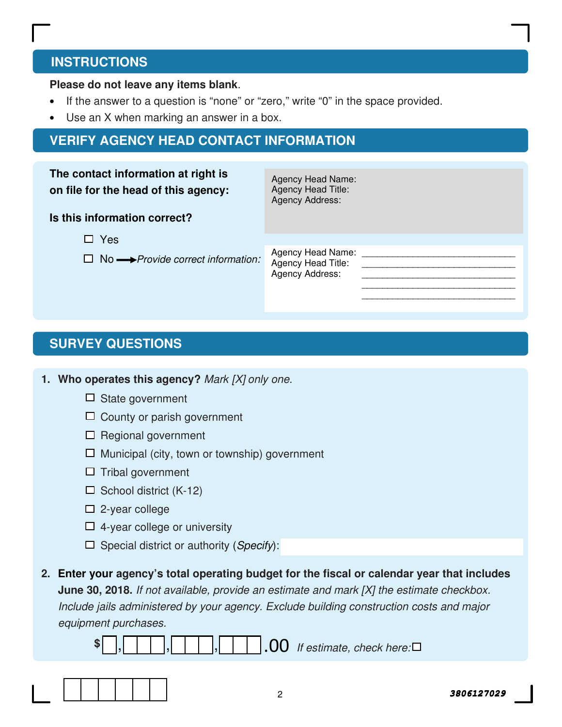# **INSTRUCTIONS**

### **Please do not leave any items blank**.

- If the answer to a question is "none" or "zero," write "0" in the space provided.
- Use an X when marking an answer in a box.

# **VERIFY AGENCY HEAD CONTACT INFORMATION**

| The contact information at right is<br>on file for the head of this agency: | Agency Head Name:<br>Agency Head Title:<br><b>Agency Address:</b> |  |
|-----------------------------------------------------------------------------|-------------------------------------------------------------------|--|
| Is this information correct?                                                |                                                                   |  |
| $\Box$ Yes                                                                  |                                                                   |  |
| $\Box$ No $\longrightarrow$ Provide correct information:                    | Agency Head Name:<br>Agency Head Title:<br>Agency Address:        |  |
|                                                                             |                                                                   |  |

# **SURVEY QUESTIONS**

**1. Who operates this agency?** Mark [X] only one.

- $\Box$  State government
- □ County or parish government
- $\Box$  Regional government
- $\Box$  Municipal (city, town or township) government
- $\Box$  Tribal government
- $\Box$  School district (K-12)
- $\square$  2-year college
- $\Box$  4-year college or university
- $\Box$  Special district or authority (Specify):
- **2. Enter your agency's total operating budget for the fiscal or calendar year that includes June 30, 2018.** If not available, provide an estimate and mark [X] the estimate checkbox. Include jails administered by your agency. Exclude building construction costs and major equipment purchases.

**\$** , , , , , , , , , , , , , 00 If estimate, check here:

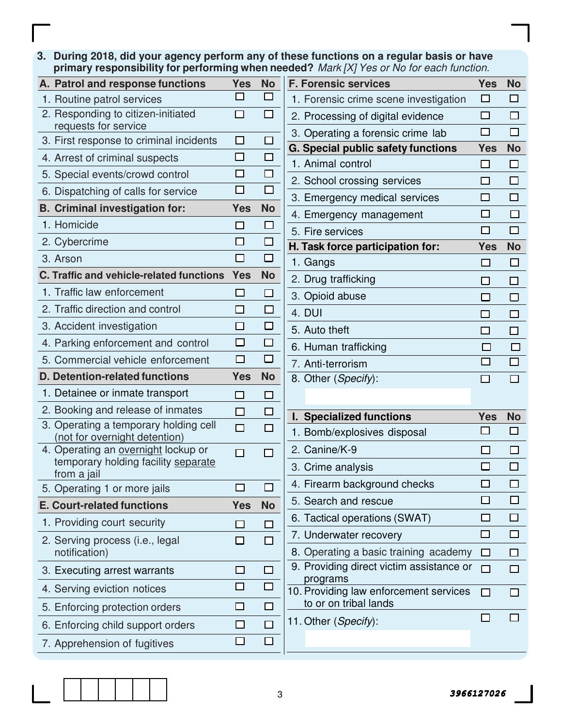**3. During 2018, did your agency perform any of these functions on a regular basis or have primary responsibility for performing when needed?** Mark [X] Yes or No for each function.

| A. Patrol and response functions                                                          | <b>Yes</b>     | <b>No</b>         | F            |
|-------------------------------------------------------------------------------------------|----------------|-------------------|--------------|
| 1. Routine patrol services                                                                |                |                   |              |
| 2. Responding to citizen-initiated<br>requests for service                                |                |                   |              |
| 3. First response to criminal incidents                                                   |                |                   | C            |
| 4. Arrest of criminal suspects                                                            |                |                   |              |
| 5. Special events/crowd control                                                           |                | П                 |              |
| 6. Dispatching of calls for service                                                       |                |                   |              |
| <b>B. Criminal investigation for:</b>                                                     | Yes            | <b>No</b>         |              |
| 1. Homicide                                                                               |                | $\Box$            |              |
| 2. Cybercrime                                                                             |                | $\Box$            |              |
| 3. Arson                                                                                  |                | $\overline{\Box}$ |              |
| C. Traffic and vehicle-related functions                                                  | <b>Yes</b>     | <b>No</b>         |              |
| 1. Traffic law enforcement                                                                | $\blacksquare$ | H.                |              |
| 2. Traffic direction and control                                                          |                | $\Box$            |              |
| 3. Accident investigation                                                                 |                | $\Box$            |              |
| 4. Parking enforcement and control                                                        |                | $\overline{\Box}$ |              |
| 5. Commercial vehicle enforcement                                                         |                | П                 |              |
|                                                                                           |                |                   |              |
| <b>D. Detention-related functions</b>                                                     | <b>Yes</b>     | <b>No</b>         |              |
| 1. Detainee or inmate transport                                                           |                | Г                 |              |
| 2. Booking and release of inmates                                                         |                | П                 |              |
| 3. Operating a temporary holding cell<br>(not for overnight detention)                    |                |                   |              |
| 4. Operating an overnight lockup or<br>temporary holding facility separate<br>from a jail |                |                   |              |
| 5. Operating 1 or more jails                                                              |                |                   |              |
| <b>E. Court-related functions</b>                                                         | <b>Yes</b>     | <b>No</b>         |              |
| 1. Providing court security                                                               |                |                   |              |
| 2. Serving process (i.e., legal<br>notification)                                          |                |                   |              |
| 3. Executing arrest warrants                                                              | I I            |                   |              |
| 4. Serving eviction notices                                                               |                |                   |              |
| 5. Enforcing protection orders                                                            |                |                   | $\mathbf{1}$ |
| 6. Enforcing child support orders                                                         |                |                   | 1            |

| <b>aca</b> : <i>manipy reserve for cadifianchon</i> |                                                                 |              |              |  |  |
|-----------------------------------------------------|-----------------------------------------------------------------|--------------|--------------|--|--|
|                                                     | <b>F. Forensic services</b>                                     | <b>Yes</b>   | <b>No</b>    |  |  |
|                                                     | 1. Forensic crime scene investigation                           | $\Box$       | $\mathbf{L}$ |  |  |
|                                                     | 2. Processing of digital evidence                               | П            | П            |  |  |
|                                                     | 3. Operating a forensic crime lab                               | □            | $\Box$       |  |  |
|                                                     | G. Special public safety functions                              | <b>Yes</b>   | <b>No</b>    |  |  |
|                                                     | 1. Animal control                                               | □            | $\Box$       |  |  |
|                                                     | 2. School crossing services                                     | $\Box$       | □            |  |  |
|                                                     | 3. Emergency medical services                                   | П            | $\Box$       |  |  |
|                                                     | 4. Emergency management                                         |              |              |  |  |
|                                                     | 5. Fire services                                                |              |              |  |  |
|                                                     | H. Task force participation for:                                | <b>Yes</b>   | <b>No</b>    |  |  |
|                                                     | 1. Gangs                                                        |              | ப            |  |  |
|                                                     | 2. Drug trafficking                                             |              | П            |  |  |
|                                                     | 3. Opioid abuse                                                 | $\mathbf{I}$ | □            |  |  |
|                                                     | 4. DUI                                                          | $\mathbf{I}$ | П            |  |  |
|                                                     | 5. Auto theft                                                   |              | $\Box$       |  |  |
|                                                     | 6. Human trafficking                                            |              |              |  |  |
|                                                     | 7. Anti-terrorism                                               |              | П            |  |  |
|                                                     | 8. Other (Specify):                                             |              |              |  |  |
|                                                     |                                                                 |              |              |  |  |
|                                                     | I. Specialized functions                                        | <b>Yes</b>   | <b>No</b>    |  |  |
|                                                     | 1. Bomb/explosives disposal                                     |              | $\Box$       |  |  |
|                                                     | 2. Canine/K-9                                                   |              |              |  |  |
|                                                     | 3. Crime analysis                                               |              |              |  |  |
|                                                     | 4. Firearm background checks                                    |              |              |  |  |
|                                                     | 5. Search and rescue                                            |              |              |  |  |
|                                                     | 6. Tactical operations (SWAT)                                   |              |              |  |  |
|                                                     | 7. Underwater recovery                                          |              |              |  |  |
|                                                     | 8. Operating a basic training academy                           | П            |              |  |  |
|                                                     | 9. Providing direct victim assistance or<br>programs            | □            |              |  |  |
|                                                     | 10. Providing law enforcement services<br>to or on tribal lands | П            |              |  |  |
|                                                     | 11. Other (Specify):                                            |              |              |  |  |